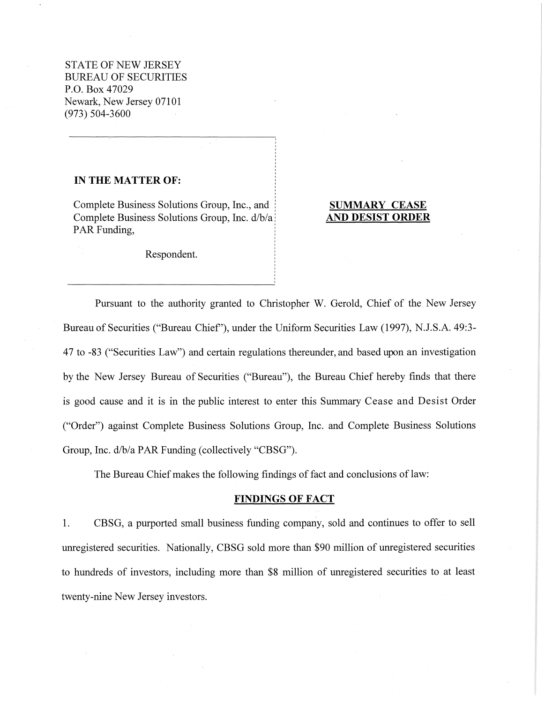STATE OF NEW JERSEY BUREAU OF SECURITIES P.O. Box 47029 Newark, New Jersey 07101 (973) 504-3600

### **IN THE MATTER OF:**

Complete Business Solutions Group, Inc., and Complete Business Solutions Group, Inc. d/b/a PAR Funding,

# **SUMMARY CEASE AND DESIST ORDER**

Respondent.

Pursuant to the authority granted to Christopher W. Gerold, Chief of the New Jersey Bureau of Securities ("Bureau Chief'), under the Uniform Securities Law (1997), N.J.S.A. 49:3- 4 7 to -83 ("Securities Law") and certain regulations thereunder, and based upon an investigation by the New Jersey Bureau of Securities ("Bureau"), the Bureau Chief hereby finds that there is good cause and it is in the public interest to enter this Summary Cease and Desist Order ("Order") against Complete Business Solutions Group, Inc. and Complete Business Solutions Group, Inc. d/b/a PAR Funding (collectively "CBSG").

The Bureau Chief makes the following findings of fact and conclusions of law:

### **FINDINGS OF FACT**

1. CBSG, a purported small business funding company, sold and continues to offer to sell unregistered securities. Nationally, CBSG sold more than \$90 million of unregistered securities to hundreds of investors, including more than \$8 million of unregistered securities to at least twenty-nine New Jersey investors.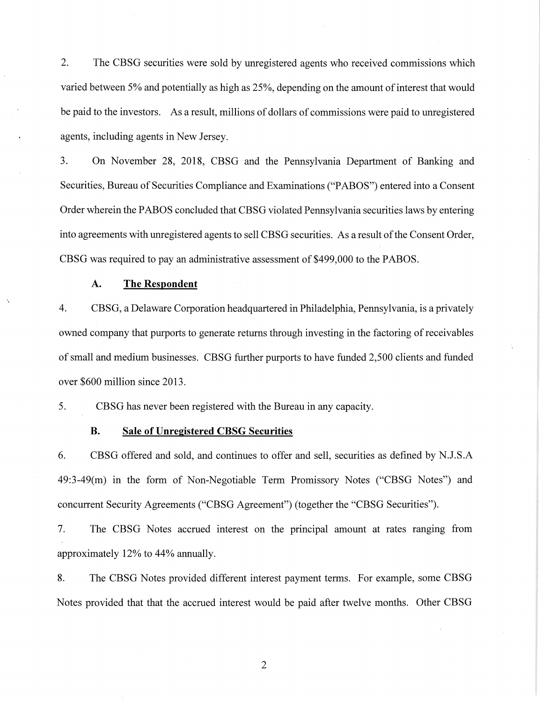2. The CBSG securities were sold by unregistered agents who received commissions which varied between 5% and potentially as high as 25%, depending on the amount of interest that would be paid to the investors. As a result, millions of dollars of commissions were paid to unregistered agents, including agents in New Jersey.

3. On November 28, 2018, CBSG and the Pennsylvania Department of Banking and Securities, Bureau of Securities Compliance and Examinations ("PABOS") entered into a Consent Order wherein the PABOS concluded that CBSG violated Pennsylvania securities laws by entering into agreements with unregistered agents to sell CBSG securities. As a result of the Consent Order, CBSG was required to pay an administrative assessment of \$499,000 to the PABOS.

## **A. The Respondent**

4. CBSG, a Delaware Corporation headquartered in Philadelphia, Pennsylvania, is a privately owned company that purports to generate returns through investing in the factoring of receivables of small and medium businesses. CBSG further purports to have funded 2,500 clients and funded over \$600 million since 2013.

5. CBSG has never been registered with the Bureau in any capacity.

## **B. Sale of Unregistered CBSG Securities**

6. CBSG offered and sold, and continues to offer and sell, securities as defined by N.J.S.A 49:3-49(m) in the form of Non-Negotiable Term Promissory Notes ("CBSG Notes") and concurrent Security Agreements ("CBSG Agreement") (together the "CBSG Securities").

7. The CBSG Notes accrued interest on the principal amount at rates ranging from approximately 12% to 44% annually.

8. The CBSG Notes provided different interest payment terms. For example, some CBSG Notes provided that that the accrued interest would be paid after twelve months. Other CBSG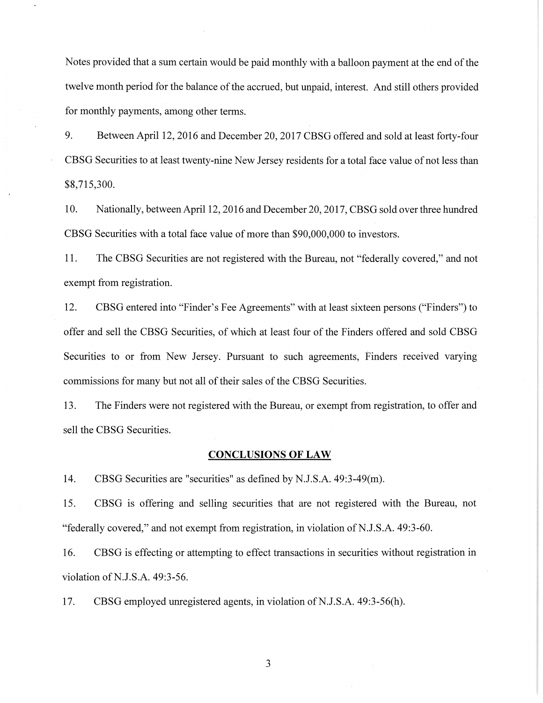Notes provided that a sum certain would be paid monthly with a balloon payment at the end of the twelve month period for the balance of the accrued, but unpaid, interest. And still others provided for monthly payments, among other terms.

9. Between April 12, 2016 and December 20, 2017 CBSG offered and sold at least forty-four CBSG Securities to at least twenty-nine New Jersey residents for a total face value of not less than \$8,715,300.

10. Nationally, between April 12, 2016 and December 20, 2017, CBSG sold over three hundred CBSG Securities with a total face value of more than \$90,000,000 to investors.

11. The CBSG Securities are not registered with the Bureau, not "federally covered," and not exempt from registration.

12. CBSG entered into "Finder's Fee Agreements" with at least sixteen persons ("Finders") to offer and sell the CBSG Securities, of which at least four of the Finders offered and sold CBSG Securities to or from New Jersey. Pursuant to such agreements, Finders received varying commissions for many but not all of their sales of the CBSG Securities.

13. The Finders were not registered with the Bureau, or exempt from registration, to offer and sell the CBSG Securities.

#### **CONCLUSIONS OF LAW**

14. CBSG Securities are "securities" as defined by N.J.S.A. 49:3-49(m).

15. CBSG is offering and selling securities that are not registered with the Bureau, not "federally covered," and not exempt from registration, in violation of N.J.S.A. 49:3-60.

16. CBSG is effecting or attempting to effect transactions in securities without registration in violation of N.J.S.A. 49:3-56.

17. CBSG employed unregistered agents, in violation of N.J.S.A. 49:3-56(h).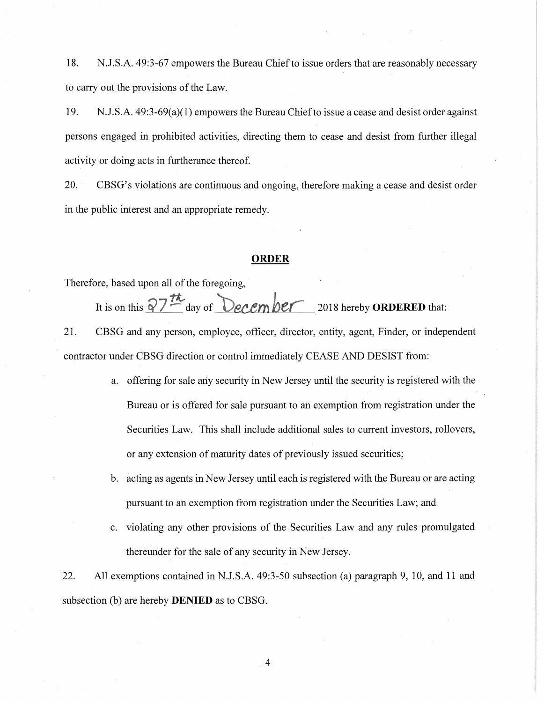18. N.J.S.A. 49:3-67 empowers the Bureau Chiefto issue orders that are reasonably necessary to carry out the provisions of the Law.

19. N.J.S.A. 49:3-69(a)(1) empowers the Bureau Chief to issue a cease and desist order against persons engaged in prohibited activities, directing them to cease and desist from further illegal activity or doing acts in furtherance thereof.

20. CBSG's violations are continuous and ongoing, therefore making a cease and desist order in the public interest and an appropriate remedy.

### **ORDER**

Therefore, based upon all of the foregoing,

It is on this  $\sqrt{7 h}$  day of **December** 2018 hereby **ORDERED** that:

21. CBSG and any person, employee, officer, director, entity, agent, Finder, or independent contractor under CBSG direction or control immediately CEASE AND DESIST from:

- a. offering for sale any security in New Jersey until the security is registered with the Bureau or is offered for sale pursuant to an exemption from registration under the Securities Law. This shall include additional sales to current investors, rollovers, or any extension of maturity dates of previously issued securities;
- b. acting as agents in New Jersey until each is registered with the Bureau or are acting pursuant to an exemption from registration under the Securities Law; and
- c. violating any other provisions of the Securities Law and any rules promulgated thereunder for the sale of any security in New Jersey.

22. All exemptions contained in N.J.S.A. 49:3-50 subsection (a) paragraph 9, 10, and 11 and subsection (b) are hereby **DENIED** as to CBSG.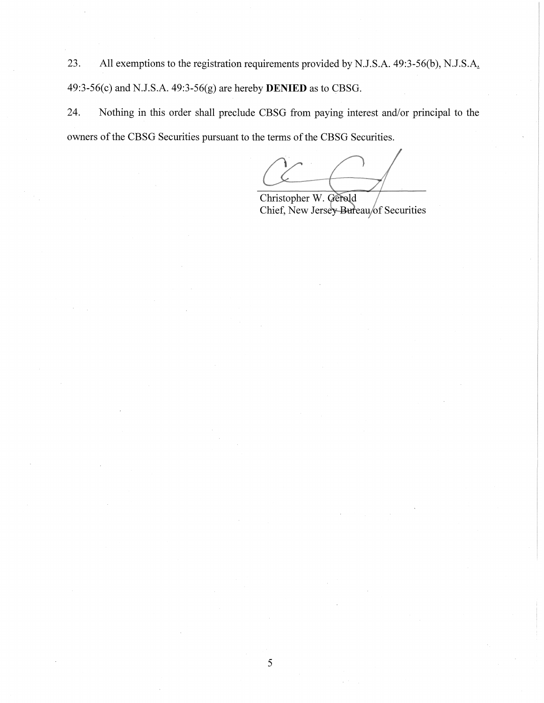23. All exemptions to the registration requirements provided by N.J.S.A. 49:3-56(b), N.J.S.A. 49:3-56(c) and N.J.S.A. 49:3-56(g) are hereby **DENIED** as to CBSG.

24. Nothing in this order shall preclude CBSG from paying interest and/or principal to the owners of the CBSG Securities pursuant to the terms of the CBSG Securities.

Christopher W. Gerold Chief, New Jersey Bureau/of Securities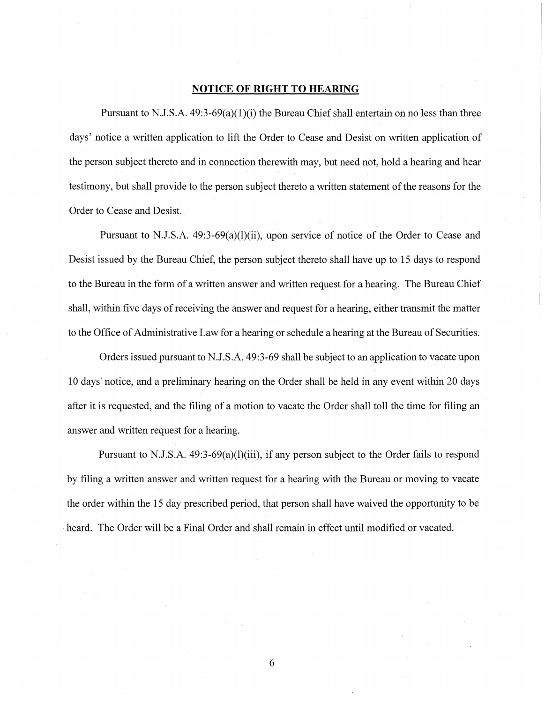## **NOTICE OF RIGHT TO HEARING**

Pursuant to N.J.S.A.  $49:3-69(a)(1)(i)$  the Bureau Chief shall entertain on no less than three days' notice a written application to lift the Order to Cease and Desist on written application of the person subject thereto and in connection therewith may, but need not, hold a hearing and hear testimony, but shall provide to the person subject thereto a written statement of the reasons for the Order to Cease and Desist.

Pursuant to N.J.S.A. 49:3-69(a)(l)(ii), upon service of notice of the Order to Cease and Desist issued by the Bureau Chief, the person subject thereto shall have up to 15 days to respond to the Bureau in the form of a written answer and written request for a hearing. The Bureau Chief shall, within five days of receiving the answer and request for a hearing, either transmit the matter to the Office of Administrative Law for a hearing or schedule a hearing at the Bureau of Securities.

Orders issued pursuant to N.J.S.A. 49:3-69 shall be subject to an application to vacate upon 10 days' notice, and a preliminary hearing on the Order shall be held in any event within 20 days after it is requested, and the filing of a motion to vacate the Order shall toll the time for filing an answer and written request for a hearing.

Pursuant to N.J.S.A. 49:3-69(a)(l)(iii), if any person subject to the Order fails to respond by filing a written answer and written request for a hearing with the Bureau or moving to vacate the order within the 15 day prescribed period, that person shall have waived the opportunity to be heard. The Order will be a Final Order and shall remain in effect until modified or vacated.